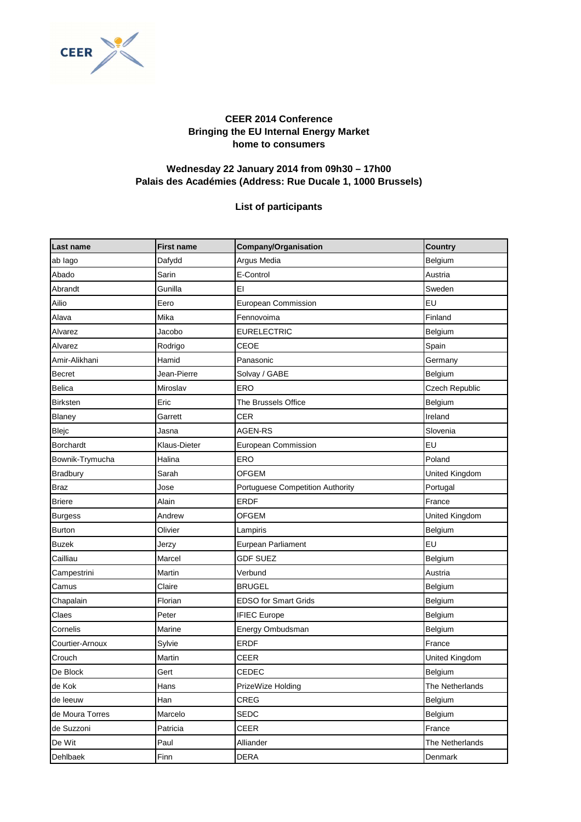

## **CEER 2014 Conference Bringing the EU Internal Energy Market home to consumers**

## **Wednesday 22 January 2014 from 09h30 – 17h00 Palais des Académies (Address: Rue Ducale 1, 1000 Brussels)**

## **List of participants**

| Last name        | <b>First name</b> | Company/Organisation             | <b>Country</b>  |
|------------------|-------------------|----------------------------------|-----------------|
| ab lago          | Dafydd            | Argus Media                      | Belgium         |
| Abado            | Sarin             | E-Control                        | Austria         |
| Abrandt          | Gunilla           | EI                               | Sweden          |
| Ailio            | Eero              | European Commission              | EU              |
| Alava            | Mika              | Fennovoima                       | Finland         |
| Alvarez          | Jacobo            | <b>EURELECTRIC</b>               | Belgium         |
| Alvarez          | Rodrigo           | CEOE                             | Spain           |
| Amir-Alikhani    | Hamid             | Panasonic                        | Germany         |
| Becret           | Jean-Pierre       | Solvay / GABE                    | Belgium         |
| <b>Belica</b>    | Miroslav          | ERO                              | Czech Republic  |
| <b>Birksten</b>  | Eric              | The Brussels Office              | Belgium         |
| Blaney           | Garrett           | <b>CER</b>                       | Ireland         |
| Blejc            | Jasna             | <b>AGEN-RS</b>                   | Slovenia        |
| <b>Borchardt</b> | Klaus-Dieter      | European Commission              | EU              |
| Bownik-Trymucha  | Halina            | ERO                              | Poland          |
| <b>Bradbury</b>  | Sarah             | <b>OFGEM</b>                     | United Kingdom  |
| <b>Braz</b>      | Jose              | Portuguese Competition Authority | Portugal        |
| <b>Briere</b>    | Alain             | <b>ERDF</b>                      | France          |
| <b>Burgess</b>   | Andrew            | <b>OFGEM</b>                     | United Kingdom  |
| <b>Burton</b>    | Olivier           | Lampiris                         | Belgium         |
| <b>Buzek</b>     | Jerzy             | Eurpean Parliament               | EU              |
| Cailliau         | Marcel            | <b>GDF SUEZ</b>                  | Belgium         |
| Campestrini      | Martin            | Verbund                          | Austria         |
| Camus            | Claire            | <b>BRUGEL</b>                    | Belgium         |
| Chapalain        | Florian           | <b>EDSO for Smart Grids</b>      | Belgium         |
| Claes            | Peter             | <b>IFIEC Europe</b>              | Belgium         |
| Cornelis         | Marine            | Energy Ombudsman                 | Belgium         |
| Courtier-Arnoux  | Sylvie            | <b>ERDF</b>                      | France          |
| Crouch           | Martin            | <b>CEER</b>                      | United Kingdom  |
| De Block         | Gert              | CEDEC                            | Belgium         |
| de Kok           | Hans              | PrizeWize Holding                | The Netherlands |
| de leeuw         | Han               | CREG                             | Belgium         |
| de Moura Torres  | Marcelo           | SEDC                             | Belgium         |
| de Suzzoni       | Patricia          | CEER                             | France          |
| De Wit           | Paul              | Alliander                        | The Netherlands |
| Dehlbaek         | Finn              | <b>DERA</b>                      | Denmark         |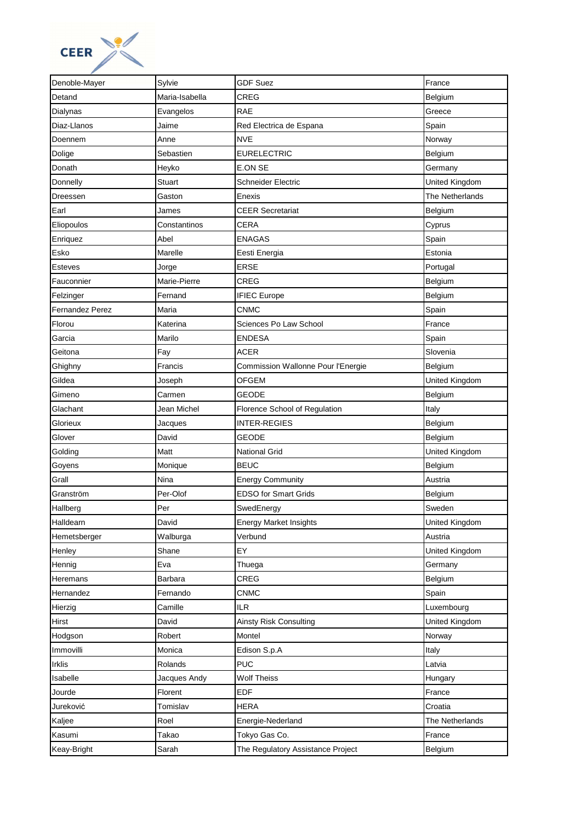

| Denoble-Mayer   | Sylvie         | <b>GDF Suez</b>                    | France          |
|-----------------|----------------|------------------------------------|-----------------|
| Detand          | Maria-Isabella | <b>CREG</b>                        | Belgium         |
| Dialynas        | Evangelos      | <b>RAE</b>                         | Greece          |
| Diaz-Llanos     | Jaime          | Red Electrica de Espana            | Spain           |
| Doennem         | Anne           | <b>NVE</b>                         | Norway          |
| Dolige          | Sebastien      | <b>EURELECTRIC</b>                 | Belgium         |
| Donath          | Heyko          | E.ON SE                            | Germany         |
| Donnelly        | Stuart         | <b>Schneider Electric</b>          | United Kingdom  |
| Dreessen        | Gaston         | Enexis                             | The Netherlands |
| Earl            | James          | <b>CEER Secretariat</b>            | Belgium         |
| Eliopoulos      | Constantinos   | CERA                               | Cyprus          |
| Enriquez        | Abel           | <b>ENAGAS</b>                      | Spain           |
| Esko            | Marelle        | Eesti Energia                      | Estonia         |
| <b>Esteves</b>  | Jorge          | <b>ERSE</b>                        | Portugal        |
| Fauconnier      | Marie-Pierre   | <b>CREG</b>                        | Belgium         |
| Felzinger       | Fernand        | <b>IFIEC Europe</b>                | Belgium         |
| Fernandez Perez | Maria          | <b>CNMC</b>                        | Spain           |
| Florou          | Katerina       | Sciences Po Law School             | France          |
| Garcia          | Marilo         | <b>ENDESA</b>                      | Spain           |
| Geitona         | Fay            | ACER                               | Slovenia        |
| Ghighny         | Francis        | Commission Wallonne Pour l'Energie | Belgium         |
| Gildea          | Joseph         | OFGEM                              | United Kingdom  |
| Gimeno          | Carmen         | <b>GEODE</b>                       | Belgium         |
| Glachant        | Jean Michel    | Florence School of Regulation      | Italy           |
| Glorieux        | Jacques        | <b>INTER-REGIES</b>                | Belgium         |
| Glover          | David          | GEODE                              | Belgium         |
| Golding         | Matt           | <b>National Grid</b>               | United Kingdom  |
| Goyens          | Monique        | <b>BEUC</b>                        | Belgium         |
| Grall           | Nina           | <b>Energy Community</b>            | Austria         |
| Granström       | Per-Olof       | <b>EDSO for Smart Grids</b>        | Belgium         |
| Hallberg        | Per            | SwedEnergy                         | Sweden          |
| Halldearn       | David          | <b>Energy Market Insights</b>      | United Kingdom  |
| Hemetsberger    | Walburga       | Verbund                            | Austria         |
| Henley          | Shane          | EY                                 | United Kingdom  |
| Hennig          | Eva            | Thuega                             | Germany         |
| Heremans        | Barbara        | CREG                               | Belgium         |
| Hernandez       | Fernando       | <b>CNMC</b>                        | Spain           |
| Hierzig         | Camille        | <b>ILR</b>                         | Luxembourg      |
| Hirst           | David          | Ainsty Risk Consulting             | United Kingdom  |
| Hodgson         | Robert         | Montel                             | Norway          |
| Immovilli       | Monica         | Edison S.p.A                       | Italy           |
| <b>Irklis</b>   | Rolands        | <b>PUC</b>                         | Latvia          |
| Isabelle        | Jacques Andy   | <b>Wolf Theiss</b>                 | Hungary         |
| Jourde          | Florent        | <b>EDF</b>                         | France          |
| Jureković       | Tomislav       | <b>HERA</b>                        | Croatia         |
| Kaljee          | Roel           | Energie-Nederland                  | The Netherlands |
| Kasumi          | Takao          | Tokyo Gas Co.                      | France          |
| Keay-Bright     | Sarah          | The Regulatory Assistance Project  | Belgium         |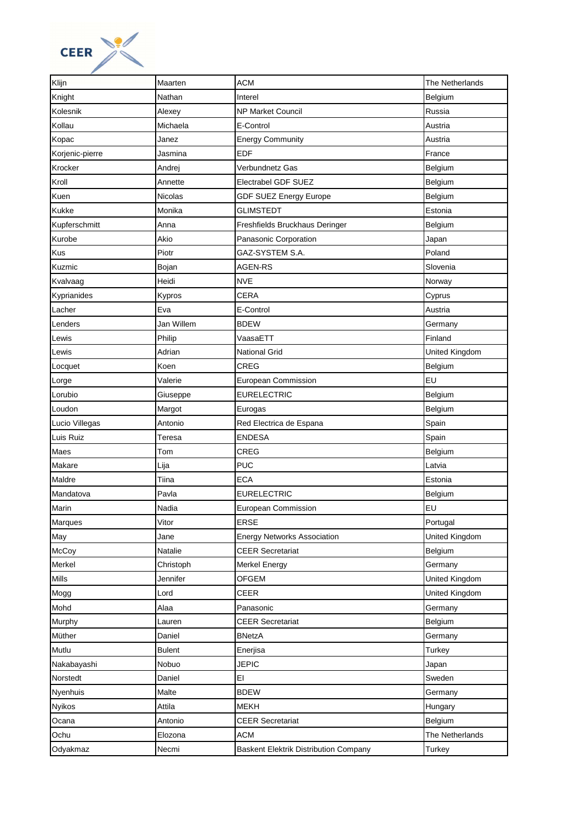

| Klijn           | Maarten       | <b>ACM</b>                            | The Netherlands |
|-----------------|---------------|---------------------------------------|-----------------|
| Knight          | Nathan        | Interel                               | Belgium         |
| Kolesnik        | Alexey        | <b>NP Market Council</b>              | Russia          |
| Kollau          | Michaela      | E-Control                             | Austria         |
| Kopac           | Janez         | <b>Energy Community</b>               | Austria         |
| Korjenic-pierre | Jasmina       | <b>EDF</b>                            | France          |
| Krocker         | Andrej        | Verbundnetz Gas                       | Belgium         |
| Kroll           | Annette       | Electrabel GDF SUEZ                   | Belgium         |
| Kuen            | Nicolas       | GDF SUEZ Energy Europe                | Belgium         |
| Kukke           | Monika        | <b>GLIMSTEDT</b>                      | Estonia         |
| Kupferschmitt   | Anna          | Freshfields Bruckhaus Deringer        | Belgium         |
| Kurobe          | Akio          | Panasonic Corporation                 | Japan           |
| Kus             | Piotr         | GAZ-SYSTEM S.A.                       | Poland          |
| Kuzmic          | Bojan         | <b>AGEN-RS</b>                        | Slovenia        |
| Kvalvaag        | Heidi         | <b>NVE</b>                            | Norway          |
| Kyprianides     | Kypros        | <b>CERA</b>                           | Cyprus          |
| Lacher          | Eva           | E-Control                             | Austria         |
| Lenders         | Jan Willem    | <b>BDEW</b>                           | Germany         |
| Lewis           | Philip        | VaasaETT                              | Finland         |
| Lewis           | Adrian        | <b>National Grid</b>                  | United Kingdom  |
| Locquet         | Koen          | CREG                                  | Belgium         |
| Lorge           | Valerie       | European Commission                   | EU              |
| Lorubio         | Giuseppe      | <b>EURELECTRIC</b>                    | Belgium         |
| Loudon          | Margot        | Eurogas                               | Belgium         |
| Lucio Villegas  | Antonio       | Red Electrica de Espana               | Spain           |
| Luis Ruiz       | Teresa        | <b>ENDESA</b>                         | Spain           |
| Maes            | Tom           | CREG                                  | Belgium         |
| Makare          | Lija          | <b>PUC</b>                            | Latvia          |
| Maldre          | Tiina         | <b>ECA</b>                            | Estonia         |
| Mandatova       | Pavla         | <b>EURELECTRIC</b>                    | Belgium         |
| Marin           | Nadia         | European Commission                   | EU              |
| Marques         | Vitor         | <b>ERSE</b>                           | Portugal        |
| May             | Jane          | <b>Energy Networks Association</b>    | United Kingdom  |
| McCoy           | Natalie       | <b>CEER Secretariat</b>               | Belgium         |
| Merkel          | Christoph     | <b>Merkel Energy</b>                  | Germany         |
| Mills           | Jennifer      | OFGEM                                 | United Kingdom  |
| Mogg            | Lord          | CEER                                  | United Kingdom  |
| Mohd            | Alaa          | Panasonic                             | Germany         |
| Murphy          | Lauren        | <b>CEER Secretariat</b>               | Belgium         |
| Müther          | Daniel        | <b>BNetzA</b>                         | Germany         |
| Mutlu           | <b>Bulent</b> | Enerjisa                              | Turkey          |
| Nakabayashi     | Nobuo         | <b>JEPIC</b>                          | Japan           |
| Norstedt        | Daniel        | EI                                    | Sweden          |
| Nyenhuis        | Malte         | <b>BDEW</b>                           | Germany         |
| Nyikos          | Attila        | <b>MEKH</b>                           | Hungary         |
| Ocana           | Antonio       | <b>CEER Secretariat</b>               | Belgium         |
| Ochu            | Elozona       | <b>ACM</b>                            | The Netherlands |
| Odyakmaz        | Necmi         | Baskent Elektrik Distribution Company | Turkey          |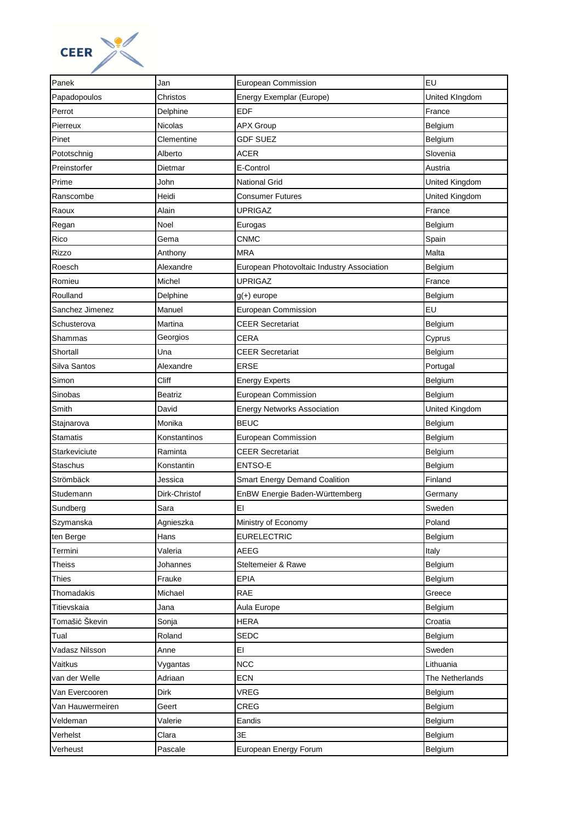

| Panek            | Jan           | <b>European Commission</b>                 | EU              |
|------------------|---------------|--------------------------------------------|-----------------|
| Papadopoulos     | Christos      | Energy Exemplar (Europe)                   | United KIngdom  |
| Perrot           | Delphine      | <b>EDF</b>                                 | France          |
| Pierreux         | Nicolas       | <b>APX Group</b>                           | Belgium         |
| Pinet            | Clementine    | <b>GDF SUEZ</b>                            | Belgium         |
| Pototschnig      | Alberto       | <b>ACER</b>                                | Slovenia        |
| Preinstorfer     | Dietmar       | E-Control                                  | Austria         |
| Prime            | John          | National Grid                              | United Kingdom  |
| Ranscombe        | Heidi         | Consumer Futures                           | United Kingdom  |
| Raoux            | Alain         | <b>UPRIGAZ</b>                             | France          |
| Regan            | Noel          | Eurogas                                    | Belgium         |
| Rico             | Gema          | CNMC                                       | Spain           |
| Rizzo            | Anthony       | <b>MRA</b>                                 | Malta           |
| Roesch           | Alexandre     | European Photovoltaic Industry Association | Belgium         |
| Romieu           | Michel        | <b>UPRIGAZ</b>                             | France          |
| Roulland         | Delphine      | $g(+)$ europe                              | Belgium         |
| Sanchez Jimenez  | Manuel        | <b>European Commission</b>                 | EU              |
| Schusterova      | Martina       | <b>CEER Secretariat</b>                    | Belgium         |
| Shammas          | Georgios      | CERA                                       | Cyprus          |
| Shortall         | Una           | <b>CEER Secretariat</b>                    | Belgium         |
| Silva Santos     | Alexandre     | <b>ERSE</b>                                | Portugal        |
| Simon            | Cliff         | <b>Energy Experts</b>                      | Belgium         |
| Sinobas          | Beatriz       | <b>European Commission</b>                 | Belgium         |
| Smith            | David         | <b>Energy Networks Association</b>         | United Kingdom  |
| Stajnarova       | Monika        | <b>BEUC</b>                                | Belgium         |
| <b>Stamatis</b>  | Konstantinos  | <b>European Commission</b>                 | Belgium         |
| Starkeviciute    | Raminta       | <b>CEER Secretariat</b>                    | Belgium         |
| Staschus         | Konstantin    | <b>ENTSO-E</b>                             | Belgium         |
| Strömbäck        | Jessica       | <b>Smart Energy Demand Coalition</b>       | Finland         |
| Studemann        | Dirk-Christof | EnBW Energie Baden-Württemberg             | Germany         |
| Sundberg         | Sara          | EI                                         | Sweden          |
| Szymanska        | Agnieszka     | Ministry of Economy                        | Poland          |
| ten Berge        | Hans          | <b>EURELECTRIC</b>                         | Belgium         |
| Termini          | Valeria       | AEEG                                       | Italy           |
| <b>Theiss</b>    | Johannes      | Steltemeier & Rawe                         | Belgium         |
| Thies            | Frauke        | EPIA                                       | Belgium         |
| Thomadakis       | Michael       | <b>RAE</b>                                 | Greece          |
| Titievskaia      | Jana          | Aula Europe                                | Belgium         |
| Tomašić Škevin   | Sonja         | HERA                                       | Croatia         |
| Tual             | Roland        | SEDC                                       | Belgium         |
| Vadasz Nilsson   | Anne          | EI                                         | Sweden          |
| Vaitkus          | Vygantas      | <b>NCC</b>                                 | Lithuania       |
| van der Welle    | Adriaan       | <b>ECN</b>                                 | The Netherlands |
| Van Evercooren   | Dirk          | VREG                                       | Belgium         |
| Van Hauwermeiren | Geert         | CREG                                       | Belgium         |
| Veldeman         | Valerie       | Eandis                                     | Belgium         |
| Verhelst         | Clara         | 3E                                         | Belgium         |
| Verheust         | Pascale       | European Energy Forum                      | Belgium         |